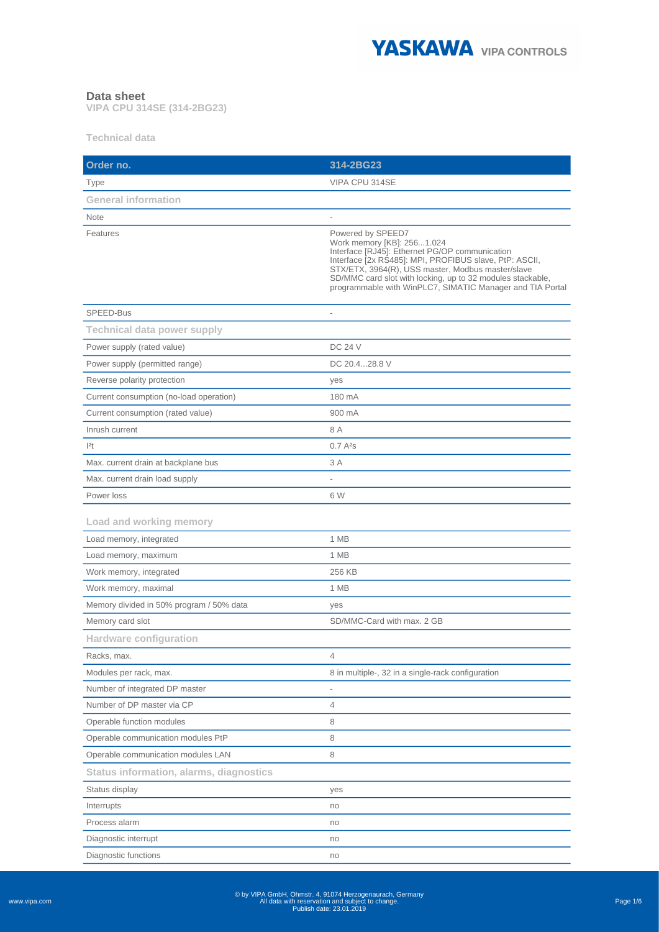

## **Data sheet**

**VIPA CPU 314SE (314-2BG23)**

**Technical data**

| Order no.                                      | 314-2BG23                                                                                                                                                                                                                                                                                                                                   |
|------------------------------------------------|---------------------------------------------------------------------------------------------------------------------------------------------------------------------------------------------------------------------------------------------------------------------------------------------------------------------------------------------|
| Type                                           | VIPA CPU 314SE                                                                                                                                                                                                                                                                                                                              |
| <b>General information</b>                     |                                                                                                                                                                                                                                                                                                                                             |
| <b>Note</b>                                    |                                                                                                                                                                                                                                                                                                                                             |
| Features                                       | Powered by SPEED7<br>Work memory [KB]: 2561.024<br>Interface [RJ45]: Ethernet PG/OP communication<br>Interface [2x RS485]: MPI, PROFIBUS slave, PtP: ASCII,<br>STX/ETX, 3964(R), USS master, Modbus master/slave<br>SD/MMC card slot with locking, up to 32 modules stackable,<br>programmable with WinPLC7, SIMATIC Manager and TIA Portal |
| SPEED-Bus                                      |                                                                                                                                                                                                                                                                                                                                             |
| <b>Technical data power supply</b>             |                                                                                                                                                                                                                                                                                                                                             |
| Power supply (rated value)                     | <b>DC 24 V</b>                                                                                                                                                                                                                                                                                                                              |
| Power supply (permitted range)                 | DC 20.428.8 V                                                                                                                                                                                                                                                                                                                               |
| Reverse polarity protection                    | yes                                                                                                                                                                                                                                                                                                                                         |
| Current consumption (no-load operation)        | 180 mA                                                                                                                                                                                                                                                                                                                                      |
| Current consumption (rated value)              | 900 mA                                                                                                                                                                                                                                                                                                                                      |
| Inrush current                                 | 8 A                                                                                                                                                                                                                                                                                                                                         |
| 2t                                             | $0.7A^{2}s$                                                                                                                                                                                                                                                                                                                                 |
| Max. current drain at backplane bus            | 3 A                                                                                                                                                                                                                                                                                                                                         |
| Max. current drain load supply                 |                                                                                                                                                                                                                                                                                                                                             |
| Power loss                                     | 6 W                                                                                                                                                                                                                                                                                                                                         |
| Load and working memory                        |                                                                                                                                                                                                                                                                                                                                             |
| Load memory, integrated                        | 1 MB                                                                                                                                                                                                                                                                                                                                        |
| Load memory, maximum                           | 1 MB                                                                                                                                                                                                                                                                                                                                        |
| Work memory, integrated                        | 256 KB                                                                                                                                                                                                                                                                                                                                      |
| Work memory, maximal                           | 1 MB                                                                                                                                                                                                                                                                                                                                        |
| Memory divided in 50% program / 50% data       | yes                                                                                                                                                                                                                                                                                                                                         |
| Memory card slot                               | SD/MMC-Card with max, 2 GB                                                                                                                                                                                                                                                                                                                  |
| <b>Hardware configuration</b>                  |                                                                                                                                                                                                                                                                                                                                             |
| Racks, max.                                    | $\overline{4}$                                                                                                                                                                                                                                                                                                                              |
| Modules per rack, max.                         | 8 in multiple-, 32 in a single-rack configuration                                                                                                                                                                                                                                                                                           |
| Number of integrated DP master                 |                                                                                                                                                                                                                                                                                                                                             |
| Number of DP master via CP                     | 4                                                                                                                                                                                                                                                                                                                                           |
| Operable function modules                      | 8                                                                                                                                                                                                                                                                                                                                           |
| Operable communication modules PtP             | 8                                                                                                                                                                                                                                                                                                                                           |
| Operable communication modules LAN             | $\,8\,$                                                                                                                                                                                                                                                                                                                                     |
| <b>Status information, alarms, diagnostics</b> |                                                                                                                                                                                                                                                                                                                                             |
| Status display                                 | yes                                                                                                                                                                                                                                                                                                                                         |
| Interrupts                                     | no                                                                                                                                                                                                                                                                                                                                          |
| Process alarm                                  | no                                                                                                                                                                                                                                                                                                                                          |
| Diagnostic interrupt                           | no                                                                                                                                                                                                                                                                                                                                          |
| Diagnostic functions                           | no                                                                                                                                                                                                                                                                                                                                          |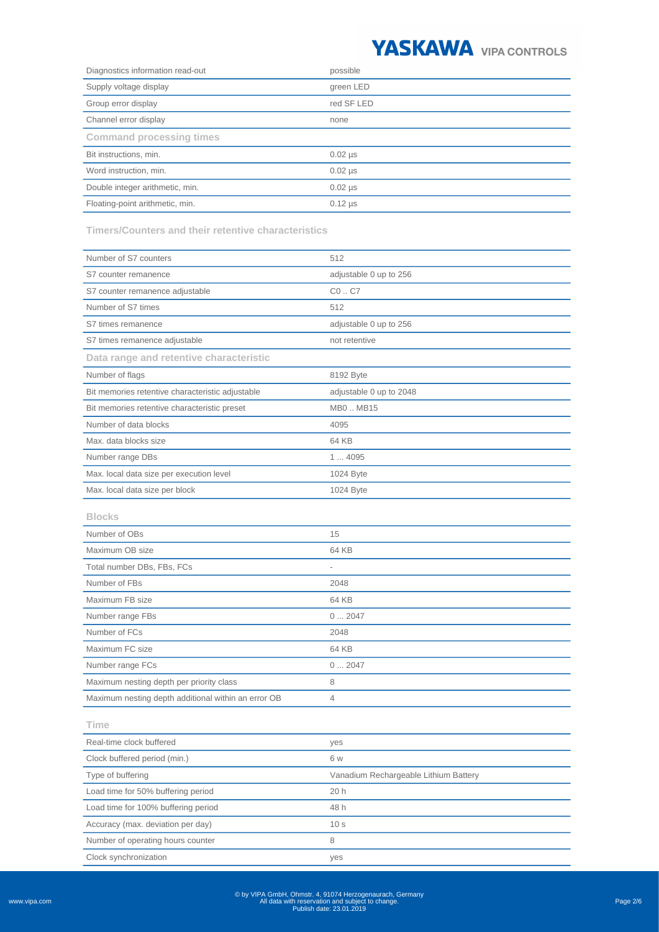

| Diagnostics information read-out | possible       |
|----------------------------------|----------------|
| Supply voltage display           | green LED      |
| Group error display              | red SF LED     |
| Channel error display            | none           |
| <b>Command processing times</b>  |                |
| Bit instructions, min.           | $0.02$ $\mu$ s |
| Word instruction, min.           | $0.02$ µs      |
| Double integer arithmetic, min.  | $0.02$ $\mu$ s |
| Floating-point arithmetic, min.  | $0.12$ $\mu$ s |

**Timers/Counters and their retentive characteristics**

| Number of S7 counters                               | 512                                   |
|-----------------------------------------------------|---------------------------------------|
| S7 counter remanence                                | adjustable 0 up to 256                |
| S7 counter remanence adjustable                     | C0C7                                  |
| Number of S7 times                                  | 512                                   |
| S7 times remanence                                  | adjustable 0 up to 256                |
| S7 times remanence adjustable                       | not retentive                         |
| Data range and retentive characteristic             |                                       |
| Number of flags                                     | 8192 Byte                             |
| Bit memories retentive characteristic adjustable    | adjustable 0 up to 2048               |
| Bit memories retentive characteristic preset        | MB0  MB15                             |
| Number of data blocks                               | 4095                                  |
| Max. data blocks size                               | 64 KB                                 |
| Number range DBs                                    | 14095                                 |
| Max. local data size per execution level            | 1024 Byte                             |
| Max. local data size per block                      | 1024 Byte                             |
| <b>Blocks</b>                                       |                                       |
| Number of OBs                                       | 15                                    |
| Maximum OB size                                     | 64 KB                                 |
| Total number DBs, FBs, FCs                          |                                       |
| Number of FBs                                       | 2048                                  |
| Maximum FB size                                     | 64 KB                                 |
| Number range FBs                                    | 02047                                 |
| Number of FCs                                       | 2048                                  |
| Maximum FC size                                     | 64 KB                                 |
| Number range FCs                                    | 02047                                 |
| Maximum nesting depth per priority class            | 8                                     |
| Maximum nesting depth additional within an error OB | $\overline{4}$                        |
| Time                                                |                                       |
| Real-time clock buffered                            | yes                                   |
| Clock buffered period (min.)                        | 6 w                                   |
| Type of buffering                                   | Vanadium Rechargeable Lithium Battery |
| Load time for 50% buffering period                  | 20 h                                  |
| Load time for 100% buffering period                 | 48 h                                  |
| Accuracy (max. deviation per day)                   | 10 <sub>s</sub>                       |
| Number of operating hours counter                   | 8                                     |
| Clock synchronization                               | yes                                   |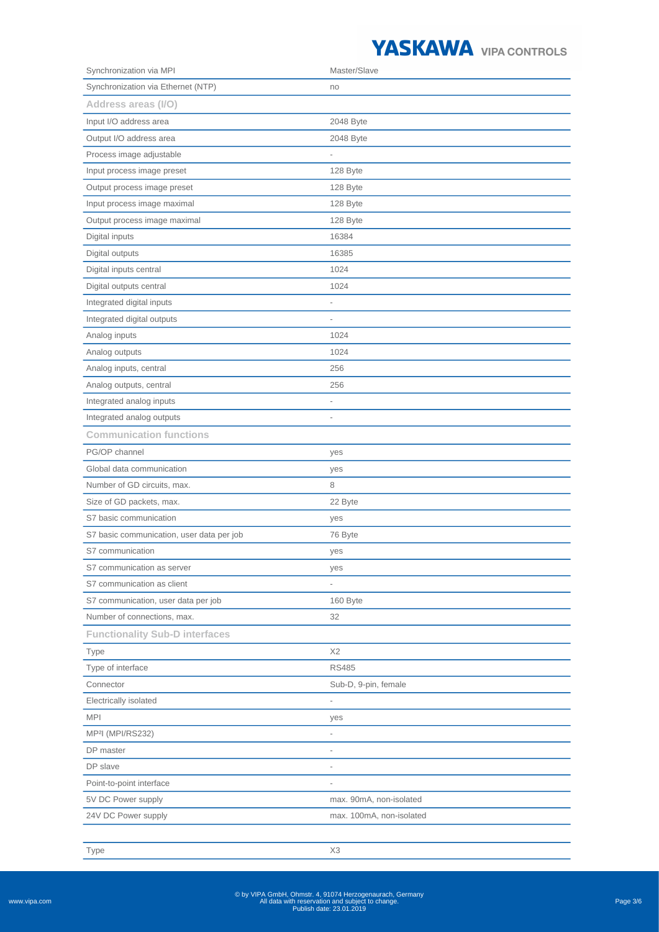

| Synchronization via MPI                   | Master/Slave             |
|-------------------------------------------|--------------------------|
| Synchronization via Ethernet (NTP)        | no                       |
| Address areas (I/O)                       |                          |
| Input I/O address area                    | 2048 Byte                |
| Output I/O address area                   | 2048 Byte                |
| Process image adjustable                  |                          |
| Input process image preset                | 128 Byte                 |
| Output process image preset               | 128 Byte                 |
| Input process image maximal               | 128 Byte                 |
| Output process image maximal              | 128 Byte                 |
| Digital inputs                            | 16384                    |
| Digital outputs                           | 16385                    |
| Digital inputs central                    | 1024                     |
| Digital outputs central                   | 1024                     |
| Integrated digital inputs                 | $\overline{\phantom{0}}$ |
| Integrated digital outputs                | $\overline{a}$           |
| Analog inputs                             | 1024                     |
| Analog outputs                            | 1024                     |
| Analog inputs, central                    | 256                      |
| Analog outputs, central                   | 256                      |
| Integrated analog inputs                  |                          |
| Integrated analog outputs                 |                          |
| <b>Communication functions</b>            |                          |
| PG/OP channel                             | yes                      |
| Global data communication                 | yes                      |
| Number of GD circuits, max.               | 8                        |
| Size of GD packets, max.                  | 22 Byte                  |
| S7 basic communication                    | yes                      |
| S7 basic communication, user data per job | 76 Byte                  |
| S7 communication                          | yes                      |
| S7 communication as server                | yes                      |
| S7 communication as client                |                          |
| S7 communication, user data per job       | 160 Byte                 |
| Number of connections, max.               | 32                       |
| <b>Functionality Sub-D interfaces</b>     |                          |
| Type                                      | X2                       |
| Type of interface                         | <b>RS485</b>             |
| Connector                                 | Sub-D, 9-pin, female     |
| Electrically isolated                     | $\overline{\phantom{0}}$ |
| <b>MPI</b>                                | yes                      |
| MP <sup>2</sup> l (MPI/RS232)             | $\overline{\phantom{0}}$ |
| DP master                                 | $\overline{a}$           |
| DP slave                                  | $\overline{a}$           |
| Point-to-point interface                  |                          |
| 5V DC Power supply                        | max. 90mA, non-isolated  |
| 24V DC Power supply                       | max. 100mA, non-isolated |
|                                           |                          |
| Type                                      | X <sub>3</sub>           |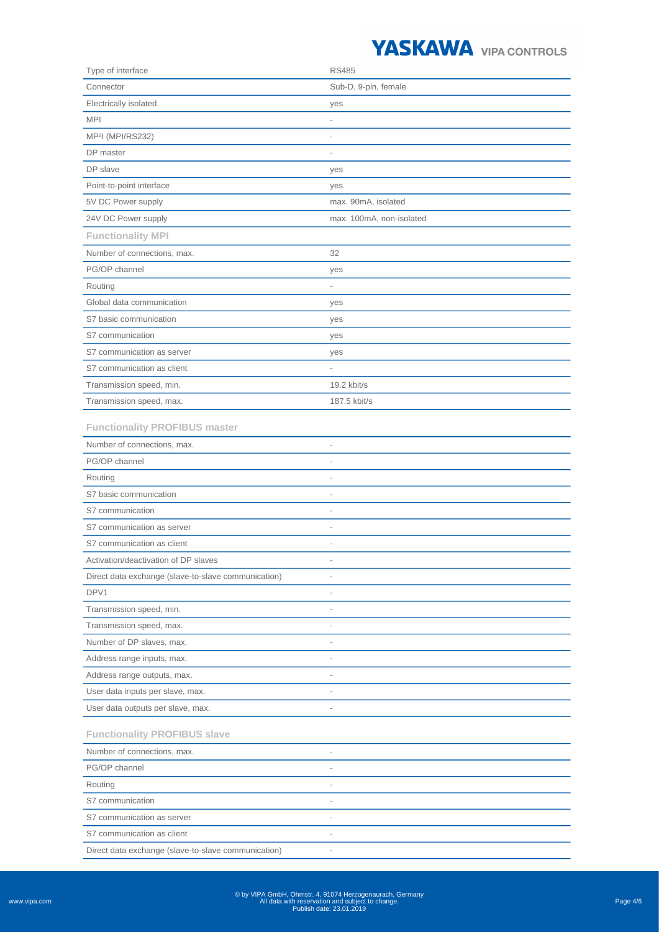

| Type of interface                                   | <b>RS485</b>             |
|-----------------------------------------------------|--------------------------|
| Connector                                           | Sub-D, 9-pin, female     |
| Electrically isolated                               | yes                      |
| <b>MPI</b>                                          | $\overline{a}$           |
| MP <sup>2</sup> I (MPI/RS232)                       |                          |
| DP master                                           |                          |
| DP slave                                            | yes                      |
| Point-to-point interface                            | yes                      |
| 5V DC Power supply                                  | max. 90mA, isolated      |
| 24V DC Power supply                                 | max. 100mA, non-isolated |
| <b>Functionality MPI</b>                            |                          |
| Number of connections, max.                         | 32                       |
| PG/OP channel                                       | yes                      |
| Routing                                             | $\overline{\phantom{a}}$ |
| Global data communication                           | yes                      |
| S7 basic communication                              | yes                      |
| S7 communication                                    | yes                      |
| S7 communication as server                          | yes                      |
| S7 communication as client                          |                          |
| Transmission speed, min.                            | 19.2 kbit/s              |
| Transmission speed, max.                            | 187.5 kbit/s             |
| <b>Functionality PROFIBUS master</b>                |                          |
| Number of connections, max.                         | ä,                       |
| PG/OP channel                                       | $\overline{a}$           |
| Routing                                             | $\overline{a}$           |
| S7 basic communication                              | $\overline{\phantom{a}}$ |
| S7 communication                                    | $\overline{\phantom{a}}$ |
| S7 communication as server                          | ä,                       |
| S7 communication as client                          | $\overline{a}$           |
| Activation/deactivation of DP slaves                |                          |
| Direct data exchange (slave-to-slave communication) |                          |
| DPV1                                                |                          |
| Transmission speed, min.                            |                          |
| Transmission speed, max.                            |                          |
| Number of DP slaves, max.                           |                          |
| Address range inputs, max.                          |                          |
| Address range outputs, max.                         |                          |
| User data inputs per slave, max.                    | $\overline{\phantom{a}}$ |
| User data outputs per slave, max.                   | i,                       |
| <b>Functionality PROFIBUS slave</b>                 |                          |
| Number of connections, max.                         |                          |
| PG/OP channel                                       |                          |
| Routing                                             | $\overline{\phantom{a}}$ |
| S7 communication                                    | $\overline{\phantom{a}}$ |
| S7 communication as server                          | $\overline{a}$           |
| S7 communication as client                          |                          |

Direct data exchange (slave-to-slave communication) -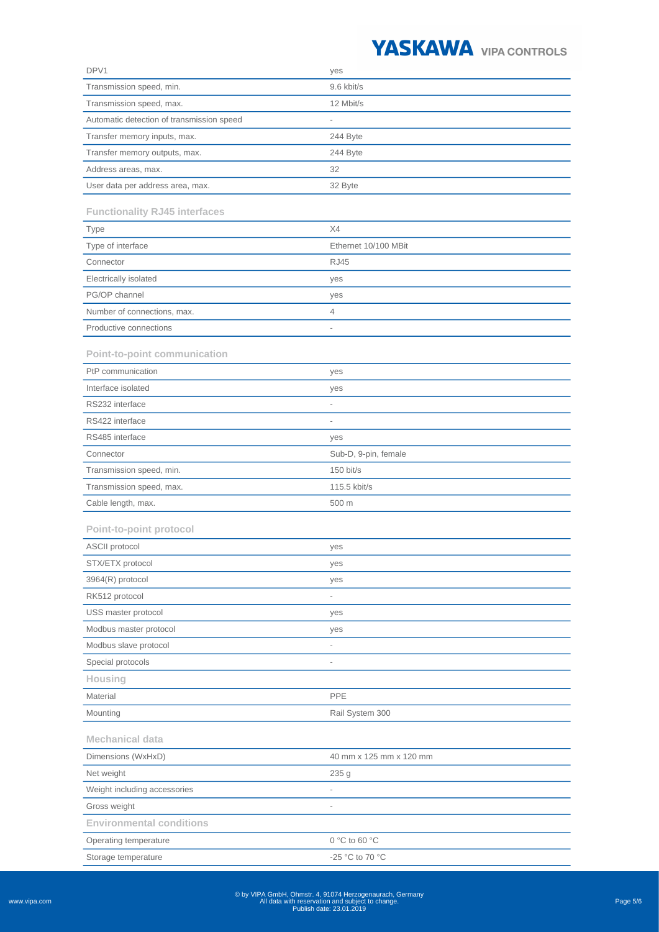

| DPV1                                          | yes                      |
|-----------------------------------------------|--------------------------|
| Transmission speed, min.                      | 9.6 kbit/s               |
| Transmission speed, max.                      | 12 Mbit/s                |
| Automatic detection of transmission speed     | $\overline{\phantom{a}}$ |
| Transfer memory inputs, max.                  | 244 Byte                 |
| Transfer memory outputs, max.                 | 244 Byte                 |
| Address areas, max.                           | 32                       |
| User data per address area, max.              | 32 Byte                  |
|                                               |                          |
| <b>Functionality RJ45 interfaces</b>          |                          |
| Type                                          | X4                       |
| Type of interface                             | Ethernet 10/100 MBit     |
| Connector                                     | <b>RJ45</b>              |
| Electrically isolated                         | yes                      |
| PG/OP channel                                 | yes                      |
| Number of connections, max.                   | 4                        |
| Productive connections                        |                          |
| <b>Point-to-point communication</b>           |                          |
| PtP communication                             | yes                      |
| Interface isolated                            | yes                      |
| RS232 interface                               |                          |
| RS422 interface                               |                          |
| RS485 interface                               | yes                      |
| Connector                                     | Sub-D, 9-pin, female     |
| Transmission speed, min.                      | $150$ bit/s              |
| Transmission speed, max.                      | 115.5 kbit/s             |
| Cable length, max.                            | 500 m                    |
| Point-to-point protocol                       |                          |
| ASCII protocol                                |                          |
|                                               | yes                      |
| STX/ETX protocol                              | yes                      |
| 3964(R) protocol                              | yes                      |
| RK512 protocol                                |                          |
| USS master protocol<br>Modbus master protocol | yes                      |
|                                               | yes                      |
| Modbus slave protocol                         | $\overline{\phantom{a}}$ |
| Special protocols                             |                          |
| Housing                                       |                          |
| Material                                      | PPE                      |
| Mounting                                      | Rail System 300          |
| <b>Mechanical data</b>                        |                          |
| Dimensions (WxHxD)                            | 40 mm x 125 mm x 120 mm  |
| Net weight                                    | 235 g                    |
| Weight including accessories                  | $\overline{\phantom{a}}$ |
| Gross weight                                  |                          |
| <b>Environmental conditions</b>               |                          |
| Operating temperature                         | 0 °C to 60 °C            |
|                                               | -25 °C to 70 °C          |